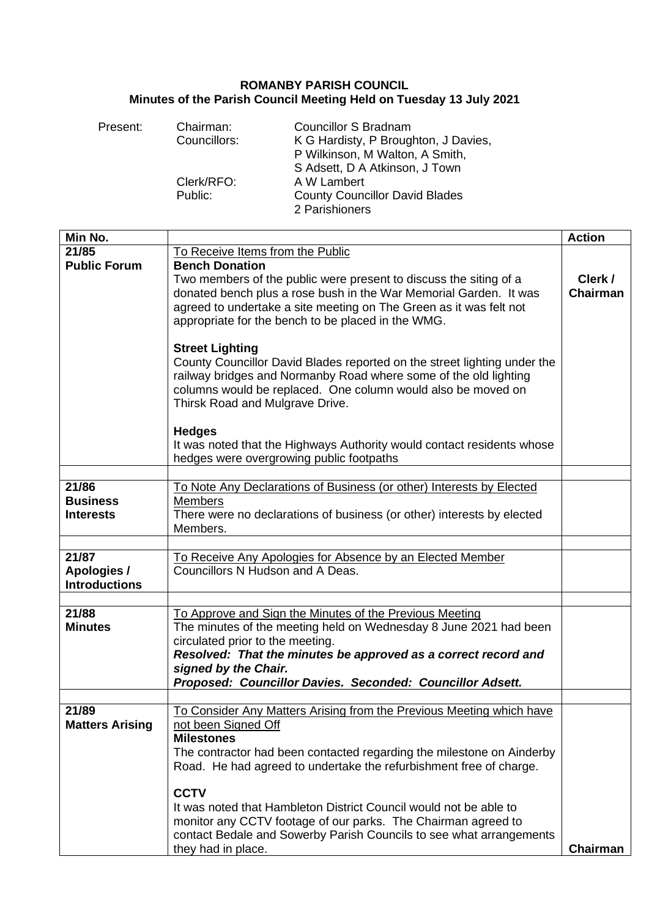## **ROMANBY PARISH COUNCIL Minutes of the Parish Council Meeting Held on Tuesday 13 July 2021**

| Present: | Chairman:    | <b>Councillor S Bradnam</b>           |
|----------|--------------|---------------------------------------|
|          | Councillors: | K G Hardisty, P Broughton, J Davies,  |
|          |              | P Wilkinson, M Walton, A Smith,       |
|          |              | S Adsett, D A Atkinson, J Town        |
|          | Clerk/RFO:   | A W Lambert                           |
|          | Public:      | <b>County Councillor David Blades</b> |
|          |              | 2 Parishioners                        |

| Min No.                                      |                                                                                                                                                                                                                                                                                                                         | <b>Action</b>              |
|----------------------------------------------|-------------------------------------------------------------------------------------------------------------------------------------------------------------------------------------------------------------------------------------------------------------------------------------------------------------------------|----------------------------|
| 21/85                                        | To Receive Items from the Public                                                                                                                                                                                                                                                                                        |                            |
| <b>Public Forum</b>                          | <b>Bench Donation</b><br>Two members of the public were present to discuss the siting of a<br>donated bench plus a rose bush in the War Memorial Garden. It was<br>agreed to undertake a site meeting on The Green as it was felt not<br>appropriate for the bench to be placed in the WMG.                             | Clerk /<br><b>Chairman</b> |
|                                              | <b>Street Lighting</b><br>County Councillor David Blades reported on the street lighting under the<br>railway bridges and Normanby Road where some of the old lighting<br>columns would be replaced. One column would also be moved on<br>Thirsk Road and Mulgrave Drive.                                               |                            |
|                                              | <b>Hedges</b><br>It was noted that the Highways Authority would contact residents whose<br>hedges were overgrowing public footpaths                                                                                                                                                                                     |                            |
|                                              |                                                                                                                                                                                                                                                                                                                         |                            |
| 21/86<br><b>Business</b><br><b>Interests</b> | To Note Any Declarations of Business (or other) Interests by Elected<br><b>Members</b><br>There were no declarations of business (or other) interests by elected<br>Members.                                                                                                                                            |                            |
|                                              |                                                                                                                                                                                                                                                                                                                         |                            |
| 21/87<br>Apologies /<br><b>Introductions</b> | To Receive Any Apologies for Absence by an Elected Member<br>Councillors N Hudson and A Deas.                                                                                                                                                                                                                           |                            |
|                                              |                                                                                                                                                                                                                                                                                                                         |                            |
| 21/88<br><b>Minutes</b>                      | To Approve and Sign the Minutes of the Previous Meeting<br>The minutes of the meeting held on Wednesday 8 June 2021 had been<br>circulated prior to the meeting.<br>Resolved: That the minutes be approved as a correct record and<br>signed by the Chair.<br>Proposed: Councillor Davies. Seconded: Councillor Adsett. |                            |
|                                              |                                                                                                                                                                                                                                                                                                                         |                            |
| 21/89<br><b>Matters Arising</b>              | To Consider Any Matters Arising from the Previous Meeting which have<br>not been Signed Off<br><b>Milestones</b><br>The contractor had been contacted regarding the milestone on Ainderby<br>Road. He had agreed to undertake the refurbishment free of charge.<br><b>CCTV</b>                                          |                            |
|                                              | It was noted that Hambleton District Council would not be able to<br>monitor any CCTV footage of our parks. The Chairman agreed to<br>contact Bedale and Sowerby Parish Councils to see what arrangements<br>they had in place.                                                                                         | <b>Chairman</b>            |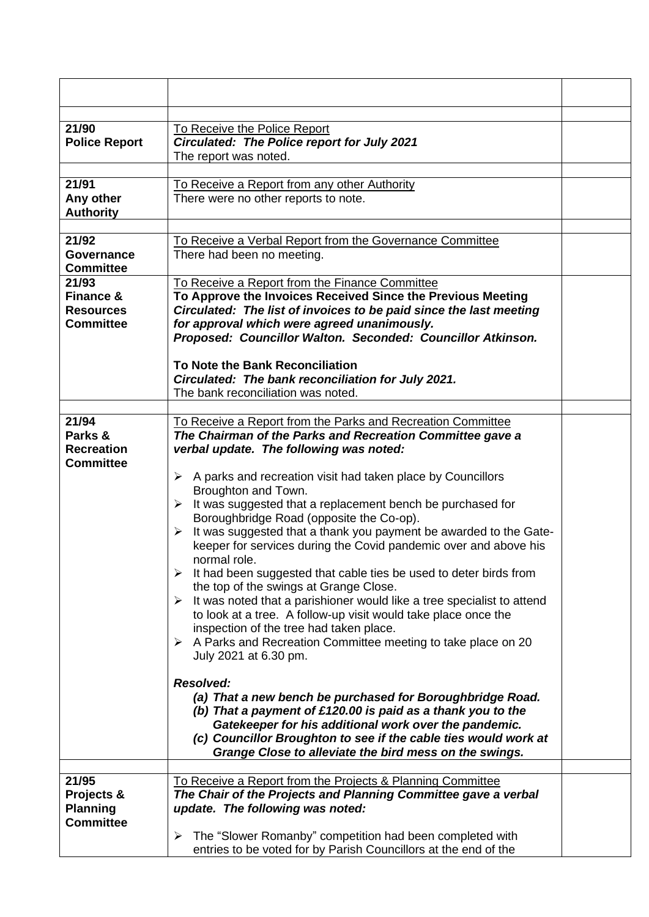| 21/90<br><b>Police Report</b>                                         | To Receive the Police Report<br><b>Circulated: The Police report for July 2021</b><br>The report was noted.                                                                                                                                                                                                                                                                                                                                                                                                                                                                                                                                                                                                                                                                                                                                                                                                                                                                                      |  |
|-----------------------------------------------------------------------|--------------------------------------------------------------------------------------------------------------------------------------------------------------------------------------------------------------------------------------------------------------------------------------------------------------------------------------------------------------------------------------------------------------------------------------------------------------------------------------------------------------------------------------------------------------------------------------------------------------------------------------------------------------------------------------------------------------------------------------------------------------------------------------------------------------------------------------------------------------------------------------------------------------------------------------------------------------------------------------------------|--|
| 21/91                                                                 | To Receive a Report from any other Authority                                                                                                                                                                                                                                                                                                                                                                                                                                                                                                                                                                                                                                                                                                                                                                                                                                                                                                                                                     |  |
| Any other<br><b>Authority</b>                                         | There were no other reports to note.                                                                                                                                                                                                                                                                                                                                                                                                                                                                                                                                                                                                                                                                                                                                                                                                                                                                                                                                                             |  |
| 21/92                                                                 | To Receive a Verbal Report from the Governance Committee                                                                                                                                                                                                                                                                                                                                                                                                                                                                                                                                                                                                                                                                                                                                                                                                                                                                                                                                         |  |
| <b>Governance</b><br><b>Committee</b>                                 | There had been no meeting.                                                                                                                                                                                                                                                                                                                                                                                                                                                                                                                                                                                                                                                                                                                                                                                                                                                                                                                                                                       |  |
| 21/93<br><b>Finance &amp;</b><br><b>Resources</b><br><b>Committee</b> | To Receive a Report from the Finance Committee<br>To Approve the Invoices Received Since the Previous Meeting<br>Circulated: The list of invoices to be paid since the last meeting<br>for approval which were agreed unanimously.<br>Proposed: Councillor Walton. Seconded: Councillor Atkinson.<br>To Note the Bank Reconciliation<br>Circulated: The bank reconciliation for July 2021.                                                                                                                                                                                                                                                                                                                                                                                                                                                                                                                                                                                                       |  |
|                                                                       | The bank reconciliation was noted.                                                                                                                                                                                                                                                                                                                                                                                                                                                                                                                                                                                                                                                                                                                                                                                                                                                                                                                                                               |  |
| 21/94<br>Parks &<br><b>Recreation</b><br><b>Committee</b>             | To Receive a Report from the Parks and Recreation Committee<br>The Chairman of the Parks and Recreation Committee gave a<br>verbal update. The following was noted:<br>$\triangleright$ A parks and recreation visit had taken place by Councillors<br>Broughton and Town.<br>It was suggested that a replacement bench be purchased for<br>≻<br>Boroughbridge Road (opposite the Co-op).<br>It was suggested that a thank you payment be awarded to the Gate-<br>$\triangleright$<br>keeper for services during the Covid pandemic over and above his<br>normal role.<br>$\triangleright$ It had been suggested that cable ties be used to deter birds from<br>the top of the swings at Grange Close.<br>It was noted that a parishioner would like a tree specialist to attend<br>➤<br>to look at a tree. A follow-up visit would take place once the<br>inspection of the tree had taken place.<br>A Parks and Recreation Committee meeting to take place on 20<br>➤<br>July 2021 at 6.30 pm. |  |
|                                                                       | <b>Resolved:</b><br>(a) That a new bench be purchased for Boroughbridge Road.<br>(b) That a payment of £120.00 is paid as a thank you to the<br>Gatekeeper for his additional work over the pandemic.<br>(c) Councillor Broughton to see if the cable ties would work at<br>Grange Close to alleviate the bird mess on the swings.                                                                                                                                                                                                                                                                                                                                                                                                                                                                                                                                                                                                                                                               |  |
| 21/95                                                                 | To Receive a Report from the Projects & Planning Committee                                                                                                                                                                                                                                                                                                                                                                                                                                                                                                                                                                                                                                                                                                                                                                                                                                                                                                                                       |  |
| Projects &<br><b>Planning</b><br><b>Committee</b>                     | The Chair of the Projects and Planning Committee gave a verbal<br>update. The following was noted:                                                                                                                                                                                                                                                                                                                                                                                                                                                                                                                                                                                                                                                                                                                                                                                                                                                                                               |  |
|                                                                       | The "Slower Romanby" competition had been completed with<br>➤<br>entries to be voted for by Parish Councillors at the end of the                                                                                                                                                                                                                                                                                                                                                                                                                                                                                                                                                                                                                                                                                                                                                                                                                                                                 |  |